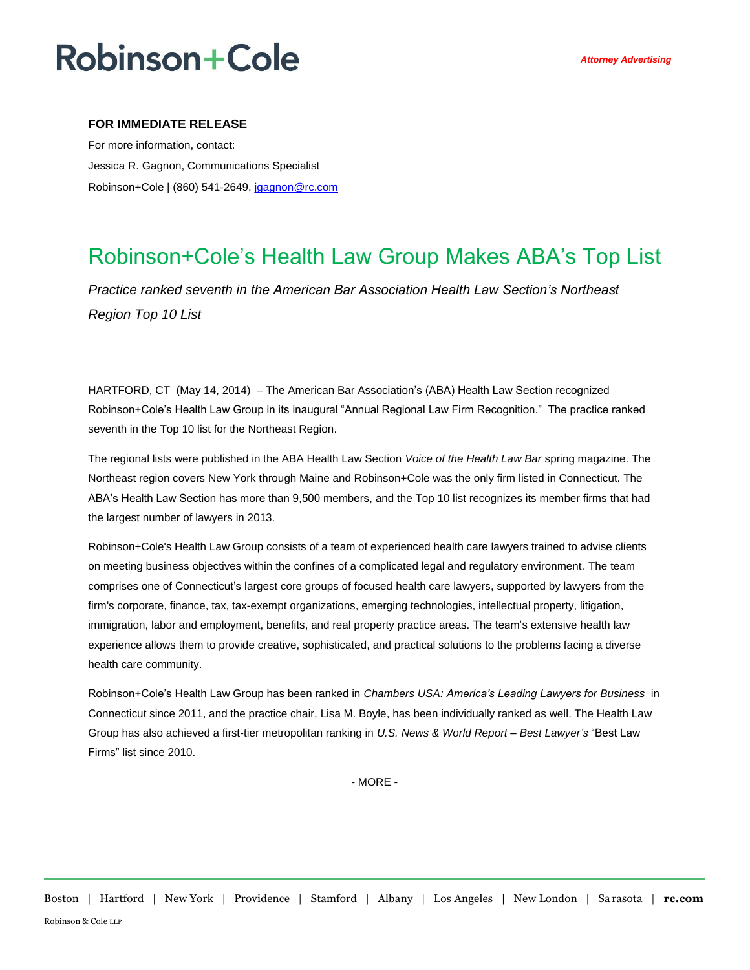# **Robinson+Cole**

### **FOR IMMEDIATE RELEASE**

For more information, contact: Jessica R. Gagnon, Communications Specialist Robinson+Cole | (860) 541-2649[, jgagnon@rc.com](mailto:jgagnon@rc.com)

### Robinson+Cole's Health Law Group Makes ABA's Top List

*Practice ranked seventh in the American Bar Association Health Law Section's Northeast Region Top 10 List*

HARTFORD, CT (May 14, 2014) – The American Bar Association's (ABA) Health Law Section recognized Robinson+Cole's Health Law Group in its inaugural "Annual Regional Law Firm Recognition." The practice ranked seventh in the Top 10 list for the Northeast Region.

The regional lists were published in the ABA Health Law Section *Voice of the Health Law Bar* spring magazine. The Northeast region covers New York through Maine and Robinson+Cole was the only firm listed in Connecticut. The ABA's Health Law Section has more than 9,500 members, and the Top 10 list recognizes its member firms that had the largest number of lawyers in 2013.

Robinson+Cole's Health Law Group consists of a team of experienced health care lawyers trained to advise clients on meeting business objectives within the confines of a complicated legal and regulatory environment. The team comprises one of Connecticut's largest core groups of focused health care lawyers, supported by lawyers from the firm's corporate, finance, tax, tax-exempt organizations, emerging technologies, intellectual property, litigation, immigration, labor and employment, benefits, and real property practice areas. The team's extensive health law experience allows them to provide creative, sophisticated, and practical solutions to the problems facing a diverse health care community.

Robinson+Cole's Health Law Group has been ranked in *Chambers USA: America's Leading Lawyers for Business* in Connecticut since 2011, and the practice chair, Lisa M. Boyle, has been individually ranked as well. The Health Law Group has also achieved a first-tier metropolitan ranking in *U.S. News & World Report – Best Lawyer's* "Best Law Firms" list since 2010.

- MORE -

Boston | Hartford | New York | Providence | Stamford | Albany | Los Angeles | New London | Sa rasota | **rc.com** Robinson & Cole LLP